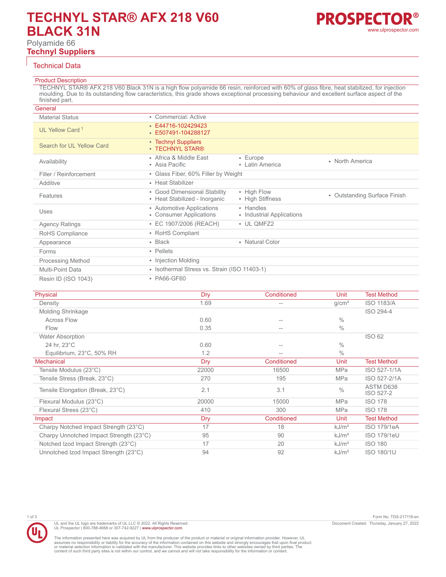# **TECHNYL STAR® AFX 218 V60 BLACK 31N**

Polyamide 66 **Technyl Suppliers**



# Technical Data

# Product Description

TECHNYL STAR® AFX 218 V60 Black 31N is a high flow polyamide 66 resin, reinforced with 60% of glass fibre, heat stabilized, for injection moulding. Due to its outstanding flow caracteristics, this grade shows exceptional processing behaviour and excellent surface aspect of the finished part.

| General                     |                                                               |                                        |                                        |
|-----------------------------|---------------------------------------------------------------|----------------------------------------|----------------------------------------|
| <b>Material Status</b>      | • Commercial: Active                                          |                                        |                                        |
| UL Yellow Card <sup>1</sup> | $\cdot$ E44716-102429423<br>• E507491-104288127               |                                        |                                        |
| Search for UL Yellow Card   | • Technyl Suppliers<br>• TECHNYL STAR®                        |                                        |                                        |
| Availability                | • Africa & Middle East<br>• Asia Pacific                      | • Europe<br>• Latin America            | • North America                        |
| Filler / Reinforcement      | • Glass Fiber, 60% Filler by Weight                           |                                        |                                        |
| Additive                    | • Heat Stabilizer                                             |                                        |                                        |
| Features                    | • Good Dimensional Stability<br>• Heat Stabilized - Inorganic | • High Flow<br>• High Stiffness        | <b>Outstanding Surface Finish</b><br>٠ |
| Uses                        | • Automotive Applications<br>• Consumer Applications          | • Handles<br>• Industrial Applications |                                        |
| <b>Agency Ratings</b>       | • EC 1907/2006 (REACH)                                        | • UL QMFZ2                             |                                        |
| RoHS Compliance             | • RoHS Compliant                                              |                                        |                                        |
| Appearance                  | $\cdot$ Black                                                 | • Natural Color                        |                                        |
| Forms                       | • Pellets                                                     |                                        |                                        |
| <b>Processing Method</b>    | • Injection Molding                                           |                                        |                                        |
| Multi-Point Data            | • Isothermal Stress vs. Strain (ISO 11403-1)                  |                                        |                                        |
| Resin ID (ISO 1043)         | • PA66-GF60                                                   |                                        |                                        |

| Physical                                | Dry   | Conditioned | Unit              | <b>Test Method</b>     |
|-----------------------------------------|-------|-------------|-------------------|------------------------|
| Density                                 | 1.69  | $-$         | q/cm <sup>3</sup> | <b>ISO 1183/A</b>      |
| <b>Molding Shrinkage</b>                |       |             |                   | ISO 294-4              |
| <b>Across Flow</b>                      | 0.60  |             | $\frac{0}{0}$     |                        |
| Flow                                    | 0.35  |             | $\%$              |                        |
| <b>Water Absorption</b>                 |       |             |                   | <b>ISO 62</b>          |
| 24 hr, 23°C                             | 0.60  |             | $\%$              |                        |
| Equilibrium, 23°C, 50% RH               | 1.2   |             | $\%$              |                        |
| <b>Mechanical</b>                       | Dry   | Conditioned | Unit              | <b>Test Method</b>     |
| Tensile Modulus (23°C)                  | 22000 | 16500       | <b>MPa</b>        | ISO 527-1/1A           |
| Tensile Stress (Break, 23°C)            | 270   | 195         | <b>MPa</b>        | ISO 527-2/1A           |
| Tensile Elongation (Break, 23°C)        | 2.1   | 3.1         | $\frac{0}{0}$     | ASTM D638<br>ISO 527-2 |
| Flexural Modulus (23°C)                 | 20000 | 15000       | <b>MPa</b>        | <b>ISO 178</b>         |
| Flexural Stress (23°C)                  | 410   | 300         | <b>MPa</b>        | <b>ISO 178</b>         |
| Impact                                  | Dry   | Conditioned | Unit              | <b>Test Method</b>     |
| Charpy Notched Impact Strength (23°C)   | 17    | 18          | kJ/m <sup>2</sup> | <b>ISO 179/1eA</b>     |
| Charpy Unnotched Impact Strength (23°C) | 95    | 90          | kJ/m <sup>2</sup> | <b>ISO 179/1eU</b>     |
| Notched Izod Impact Strength (23°C)     | 17    | 20          | kJ/m <sup>2</sup> | <b>ISO 180</b>         |
| Unnotched Izod Impact Strength (23°C)   | 94    | 92          | kJ/m <sup>2</sup> | <b>ISO 180/1U</b>      |

1 of 3 Form No. TDS-217118-en Document Created: Thursday, January 27, 2022

The information presented here was acquired by UL from the producer of the product or material or original information provider. However, UL<br>assumes no responsibility or liability for the accuracy of the information contai

UL and the UL logo are trademarks of UL LLC © 2022. All Rights Reserved. UL Prospector | 800-788-4668 or 307-742-9227 | [www.ulprospector.com](http://www.ulprospector.com).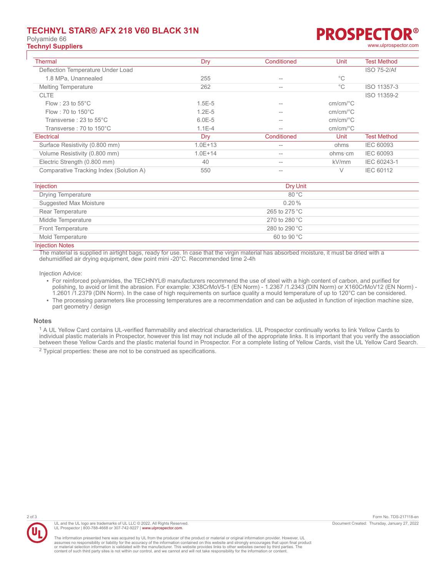# **TECHNYL STAR® AFX 218 V60 BLACK 31N**

Polyamide 66

# **PROSPECTC Technyl Suppliers** [www.ulprospector.com](http://www.ulprospector.com)

| <b>Thermal</b>                          | Dry         | Conditioned       | Unit                     | <b>Test Method</b> |
|-----------------------------------------|-------------|-------------------|--------------------------|--------------------|
| Deflection Temperature Under Load       |             |                   |                          | <b>ISO 75-2/Af</b> |
| 1.8 MPa, Unannealed                     | 255         | --                | $^{\circ}$ C             |                    |
| <b>Melting Temperature</b>              | 262         | $=$               | $^{\circ}$ C             | ISO 11357-3        |
| <b>CLTE</b>                             |             |                   |                          | ISO 11359-2        |
| Flow : 23 to $55^{\circ}$ C             | $1.5E-5$    | $=$               | $cm/cm$ <sup>o</sup> $C$ |                    |
| Flow : 70 to $150^{\circ}$ C            | $1.2E - 5$  | $- -$             | $cm/cm$ <sup>o</sup> $C$ |                    |
| Transverse: 23 to 55°C                  | $6.0E - 5$  | $- -$             | $cm/cm$ <sup>o</sup> $C$ |                    |
| Transverse: 70 to 150°C                 | $1.1E - 4$  | $\qquad \qquad -$ | $cm/cm$ <sup>o</sup> $C$ |                    |
| Electrical                              | Dry         | Conditioned       | Unit                     | <b>Test Method</b> |
| Surface Resistivity (0.800 mm)          | $1.0E + 13$ | $- -$             | ohms                     | <b>IEC 60093</b>   |
| Volume Resistivity (0.800 mm)           | $1.0E + 14$ | $- -$             | ohms∙cm                  | <b>IEC 60093</b>   |
| Electric Strength (0.800 mm)            | 40          | $- -$             | kV/mm                    | IEC 60243-1        |
| Comparative Tracking Index (Solution A) | 550         | $=$               | V                        | IEC 60112          |

| Injection                     | Dry Unit                |
|-------------------------------|-------------------------|
| <b>Drying Temperature</b>     | 80 °C                   |
| <b>Suggested Max Moisture</b> | 0.20%                   |
| Rear Temperature              | 265 to 275 $\degree$ C  |
| Middle Temperature            | 270 to 280 $^{\circ}$ C |
| <b>Front Temperature</b>      | 280 to 290 $^{\circ}$ C |
| Mold Temperature              | $60$ to $90^{\circ}$ C  |
| .                             |                         |

#### **Injection Notes**

The material is supplied in airtight bags, ready for use. In case that the virgin material has absorbed moisture, it must be dried with a dehumidified air drying equipment, dew point mini -20°C. Recommended time 2-4h

Injection Advice:

- For reinforced polyamides, the TECHNYL® manufacturers recommend the use of steel with a high content of carbon, and purified for polishing, to avoid or limit the abrasion. For example: X38CrMoV5-1 (EN Norm) - 1.2367 /1.2343 (DIN Norm) or X160CrMoV12 (EN Norm) - 1.2601 /1.2379 (DIN Norm). In the case of high requirements on surface quality a mould temperature of up to 120°C can be considered.
- The processing parameters like processing temperatures are a recommendation and can be adjusted in function of injection machine size, part geometry / design

#### **Notes**

<sup>1</sup> A UL Yellow Card contains UL-verified flammability and electrical characteristics. UL Prospector continually works to link Yellow Cards to individual plastic materials in Prospector, however this list may not include all of the appropriate links. It is important that you verify the association between these Yellow Cards and the plastic material found in Prospector. For a complete listing of Yellow Cards, visit the UL Yellow Card Search.

 $2$  Typical properties: these are not to be construed as specifications.



UL and the UL logo are trademarks of UL LLC © 2022. All Rights Reserved. UL Prospector | 800-788-4668 or 307-742-9227 | [www.ulprospector.com](http://www.ulprospector.com).

The information presented here was acquired by UL from the producer of the product or material or original information provider. However, UL<br>assumes no responsibility or liability for the accuracy of the information contai